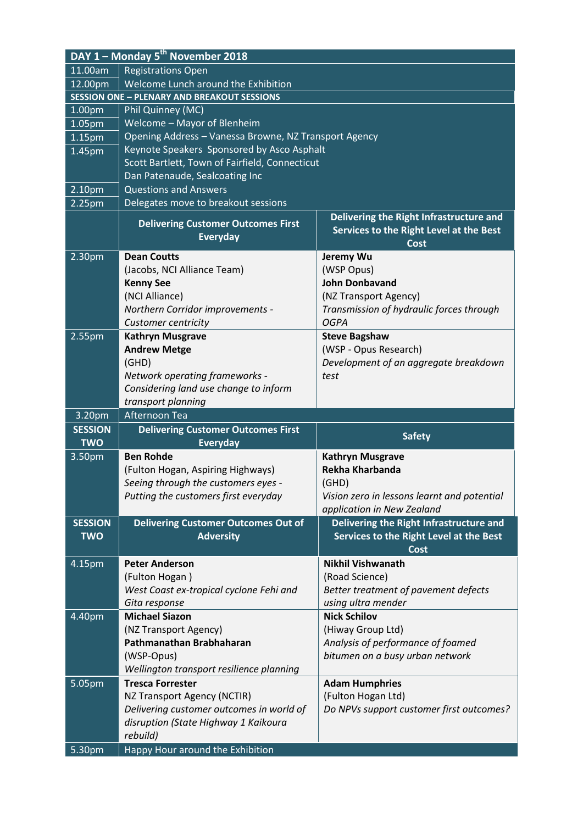| DAY 1 - Monday 5 <sup>th</sup> November 2018 |                                                              |                                                                                            |  |
|----------------------------------------------|--------------------------------------------------------------|--------------------------------------------------------------------------------------------|--|
| 11.00am                                      | <b>Registrations Open</b>                                    |                                                                                            |  |
| 12.00pm                                      | Welcome Lunch around the Exhibition                          |                                                                                            |  |
|                                              | <b>SESSION ONE - PLENARY AND BREAKOUT SESSIONS</b>           |                                                                                            |  |
| 1.00pm                                       | Phil Quinney (MC)                                            |                                                                                            |  |
| 1.05pm                                       | <b>Welcome - Mayor of Blenheim</b>                           |                                                                                            |  |
| 1.15pm                                       | Opening Address - Vanessa Browne, NZ Transport Agency        |                                                                                            |  |
| 1.45pm                                       | Keynote Speakers Sponsored by Asco Asphalt                   |                                                                                            |  |
|                                              | Scott Bartlett, Town of Fairfield, Connecticut               |                                                                                            |  |
|                                              | Dan Patenaude, Sealcoating Inc                               |                                                                                            |  |
| 2.10pm                                       | <b>Questions and Answers</b>                                 |                                                                                            |  |
| 2.25pm                                       | Delegates move to breakout sessions                          |                                                                                            |  |
|                                              | <b>Delivering Customer Outcomes First</b><br><b>Everyday</b> | Delivering the Right Infrastructure and<br>Services to the Right Level at the Best<br>Cost |  |
| 2.30 <sub>pm</sub>                           | <b>Dean Coutts</b>                                           | Jeremy Wu                                                                                  |  |
|                                              | (Jacobs, NCI Alliance Team)                                  | (WSP Opus)                                                                                 |  |
|                                              | <b>Kenny See</b>                                             | <b>John Donbavand</b>                                                                      |  |
|                                              | (NCI Alliance)                                               | (NZ Transport Agency)                                                                      |  |
|                                              | Northern Corridor improvements -                             | Transmission of hydraulic forces through                                                   |  |
|                                              | Customer centricity                                          | <b>OGPA</b>                                                                                |  |
| 2.55pm                                       | <b>Kathryn Musgrave</b>                                      | <b>Steve Bagshaw</b>                                                                       |  |
|                                              | <b>Andrew Metge</b>                                          | (WSP - Opus Research)                                                                      |  |
|                                              | (GHD)                                                        | Development of an aggregate breakdown                                                      |  |
|                                              | Network operating frameworks -                               | test                                                                                       |  |
|                                              | Considering land use change to inform                        |                                                                                            |  |
|                                              | transport planning                                           |                                                                                            |  |
| 3.20pm                                       | Afternoon Tea                                                |                                                                                            |  |
| <b>SESSION</b><br><b>TWO</b>                 | <b>Delivering Customer Outcomes First</b><br><b>Everyday</b> | <b>Safety</b>                                                                              |  |
| 3.50pm                                       | <b>Ben Rohde</b>                                             | <b>Kathryn Musgrave</b>                                                                    |  |
|                                              | (Fulton Hogan, Aspiring Highways)                            | Rekha Kharbanda                                                                            |  |
|                                              | Seeing through the customers eyes -                          | (GHD)                                                                                      |  |
|                                              | Putting the customers first everyday                         | Vision zero in lessons learnt and potential                                                |  |
|                                              |                                                              | application in New Zealand                                                                 |  |
| <b>SESSION</b>                               | <b>Delivering Customer Outcomes Out of</b>                   | Delivering the Right Infrastructure and                                                    |  |
| <b>TWO</b>                                   | <b>Adversity</b>                                             | Services to the Right Level at the Best                                                    |  |
|                                              |                                                              | Cost                                                                                       |  |
| 4.15pm                                       | <b>Peter Anderson</b>                                        | <b>Nikhil Vishwanath</b>                                                                   |  |
|                                              |                                                              |                                                                                            |  |
|                                              | (Fulton Hogan)                                               | (Road Science)                                                                             |  |
|                                              | West Coast ex-tropical cyclone Fehi and                      | Better treatment of pavement defects                                                       |  |
|                                              | Gita response                                                | using ultra mender                                                                         |  |
| 4.40pm                                       | <b>Michael Siazon</b>                                        | <b>Nick Schilov</b>                                                                        |  |
|                                              | (NZ Transport Agency)                                        | (Hiway Group Ltd)                                                                          |  |
|                                              | Pathmanathan Brabhaharan                                     | Analysis of performance of foamed                                                          |  |
|                                              | (WSP-Opus)                                                   | bitumen on a busy urban network                                                            |  |
|                                              | Wellington transport resilience planning                     |                                                                                            |  |
| 5.05pm                                       | <b>Tresca Forrester</b>                                      | <b>Adam Humphries</b>                                                                      |  |
|                                              | NZ Transport Agency (NCTIR)                                  | (Fulton Hogan Ltd)                                                                         |  |
|                                              | Delivering customer outcomes in world of                     | Do NPVs support customer first outcomes?                                                   |  |
|                                              | disruption (State Highway 1 Kaikoura                         |                                                                                            |  |
| 5.30pm                                       | rebuild)<br>Happy Hour around the Exhibition                 |                                                                                            |  |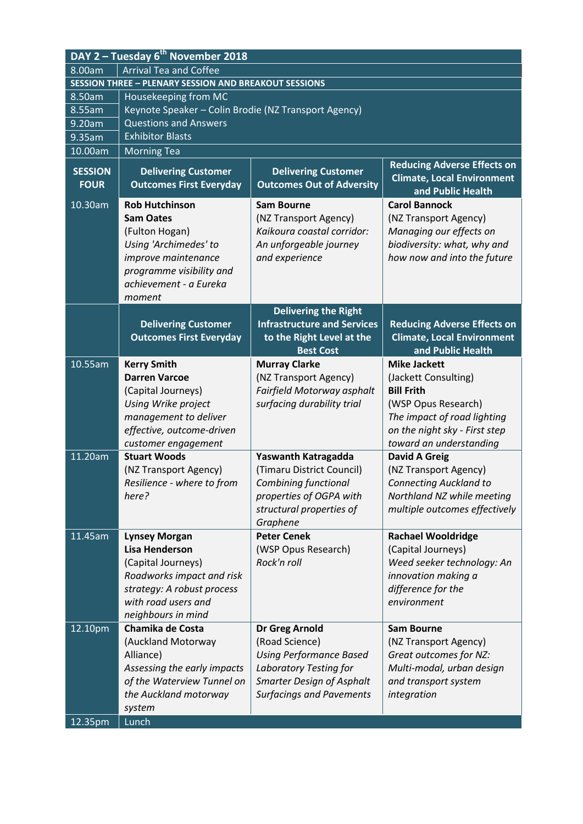| DAY 2 - Tuesday 6 <sup>th</sup> November 2018                |                                                                                                                                                                             |                                                                                                                      |                                                                                                                                        |
|--------------------------------------------------------------|-----------------------------------------------------------------------------------------------------------------------------------------------------------------------------|----------------------------------------------------------------------------------------------------------------------|----------------------------------------------------------------------------------------------------------------------------------------|
| <b>Arrival Tea and Coffee</b><br>8.00am                      |                                                                                                                                                                             |                                                                                                                      |                                                                                                                                        |
| <b>SESSION THREE - PLENARY SESSION AND BREAKOUT SESSIONS</b> |                                                                                                                                                                             |                                                                                                                      |                                                                                                                                        |
| 8.50am                                                       | Housekeeping from MC                                                                                                                                                        |                                                                                                                      |                                                                                                                                        |
| 8.55am                                                       | Keynote Speaker - Colin Brodie (NZ Transport Agency)                                                                                                                        |                                                                                                                      |                                                                                                                                        |
| 9.20am                                                       | <b>Questions and Answers</b>                                                                                                                                                |                                                                                                                      |                                                                                                                                        |
| 9.35am                                                       | <b>Exhibitor Blasts</b>                                                                                                                                                     |                                                                                                                      |                                                                                                                                        |
| 10.00am                                                      | <b>Morning Tea</b>                                                                                                                                                          |                                                                                                                      |                                                                                                                                        |
| <b>SESSION</b><br><b>FOUR</b>                                | <b>Delivering Customer</b><br><b>Outcomes First Everyday</b>                                                                                                                | <b>Delivering Customer</b><br><b>Outcomes Out of Adversity</b>                                                       | <b>Reducing Adverse Effects on</b><br><b>Climate, Local Environment</b><br>and Public Health                                           |
| 10.30am                                                      | <b>Rob Hutchinson</b><br><b>Sam Oates</b><br>(Fulton Hogan)<br>Using 'Archimedes' to<br>improve maintenance<br>programme visibility and<br>achievement - a Eureka<br>moment | <b>Sam Bourne</b><br>(NZ Transport Agency)<br>Kaikoura coastal corridor:<br>An unforgeable journey<br>and experience | <b>Carol Bannock</b><br>(NZ Transport Agency)<br>Managing our effects on<br>biodiversity: what, why and<br>how now and into the future |
|                                                              | <b>Delivering Customer</b><br><b>Outcomes First Everyday</b>                                                                                                                | <b>Delivering the Right</b><br><b>Infrastructure and Services</b><br>to the Right Level at the<br><b>Best Cost</b>   | <b>Reducing Adverse Effects on</b><br><b>Climate, Local Environment</b><br>and Public Health                                           |
| 10.55am                                                      | <b>Kerry Smith</b>                                                                                                                                                          | <b>Murray Clarke</b>                                                                                                 | <b>Mike Jackett</b>                                                                                                                    |
|                                                              | <b>Darren Varcoe</b>                                                                                                                                                        | (NZ Transport Agency)                                                                                                | (Jackett Consulting)                                                                                                                   |
|                                                              | (Capital Journeys)                                                                                                                                                          | Fairfield Motorway asphalt                                                                                           | <b>Bill Frith</b>                                                                                                                      |
|                                                              | Using Wrike project                                                                                                                                                         | surfacing durability trial                                                                                           | (WSP Opus Research)                                                                                                                    |
|                                                              | management to deliver                                                                                                                                                       |                                                                                                                      | The impact of road lighting                                                                                                            |
|                                                              | effective, outcome-driven                                                                                                                                                   |                                                                                                                      | on the night sky - First step                                                                                                          |
|                                                              | customer engagement<br><b>Stuart Woods</b>                                                                                                                                  |                                                                                                                      | toward an understanding                                                                                                                |
| 11.20am                                                      | (NZ Transport Agency)                                                                                                                                                       | Yaswanth Katragadda<br>(Timaru District Council)                                                                     | <b>David A Greig</b><br>(NZ Transport Agency)                                                                                          |
|                                                              | Resilience - where to from                                                                                                                                                  | <b>Combining functional</b>                                                                                          | <b>Connecting Auckland to</b>                                                                                                          |
|                                                              | here?                                                                                                                                                                       | properties of OGPA with                                                                                              | Northland NZ while meeting                                                                                                             |
|                                                              |                                                                                                                                                                             | structural properties of                                                                                             | multiple outcomes effectively                                                                                                          |
|                                                              |                                                                                                                                                                             | Graphene                                                                                                             |                                                                                                                                        |
| 11.45am                                                      | <b>Lynsey Morgan</b>                                                                                                                                                        | <b>Peter Cenek</b>                                                                                                   | <b>Rachael Wooldridge</b>                                                                                                              |
|                                                              | <b>Lisa Henderson</b>                                                                                                                                                       | (WSP Opus Research)                                                                                                  | (Capital Journeys)                                                                                                                     |
|                                                              | (Capital Journeys)                                                                                                                                                          | Rock'n roll                                                                                                          | Weed seeker technology: An                                                                                                             |
|                                                              | Roadworks impact and risk                                                                                                                                                   |                                                                                                                      | innovation making a                                                                                                                    |
|                                                              | strategy: A robust process                                                                                                                                                  |                                                                                                                      | difference for the                                                                                                                     |
|                                                              | with road users and                                                                                                                                                         |                                                                                                                      | environment                                                                                                                            |
|                                                              | neighbours in mind                                                                                                                                                          |                                                                                                                      |                                                                                                                                        |
| 12.10pm                                                      | <b>Chamika de Costa</b>                                                                                                                                                     | Dr Greg Arnold                                                                                                       | <b>Sam Bourne</b>                                                                                                                      |
|                                                              | (Auckland Motorway                                                                                                                                                          | (Road Science)                                                                                                       | (NZ Transport Agency)                                                                                                                  |
|                                                              | Alliance)                                                                                                                                                                   | <b>Using Performance Based</b>                                                                                       | Great outcomes for NZ:                                                                                                                 |
|                                                              | Assessing the early impacts                                                                                                                                                 | Laboratory Testing for                                                                                               | Multi-modal, urban design                                                                                                              |
|                                                              | of the Waterview Tunnel on<br>the Auckland motorway                                                                                                                         | <b>Smarter Design of Asphalt</b><br><b>Surfacings and Pavements</b>                                                  | and transport system<br>integration                                                                                                    |
|                                                              | system                                                                                                                                                                      |                                                                                                                      |                                                                                                                                        |
| 12.35pm                                                      | Lunch                                                                                                                                                                       |                                                                                                                      |                                                                                                                                        |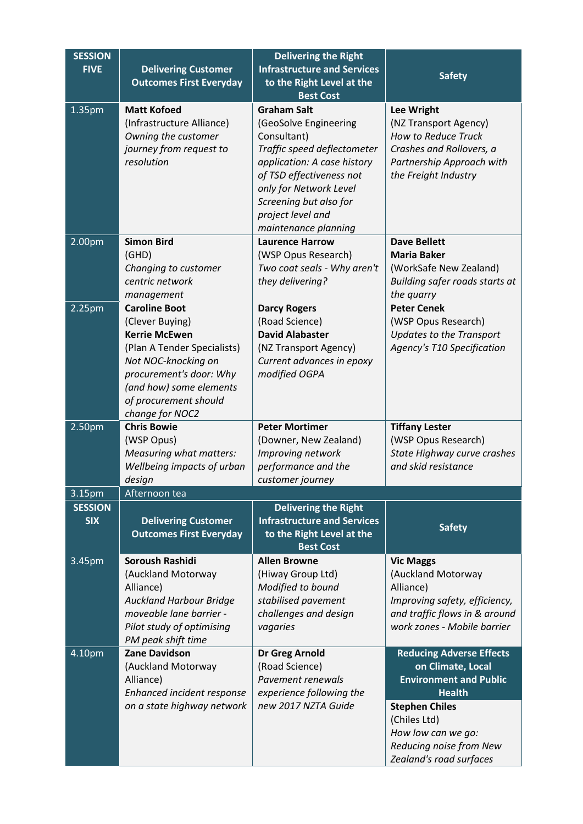| <b>SESSION</b><br><b>FIVE</b> | <b>Delivering Customer</b>               | <b>Delivering the Right</b><br><b>Infrastructure and Services</b> |                                                          |
|-------------------------------|------------------------------------------|-------------------------------------------------------------------|----------------------------------------------------------|
|                               | <b>Outcomes First Everyday</b>           | to the Right Level at the<br><b>Best Cost</b>                     | <b>Safety</b>                                            |
| 1.35pm                        | <b>Matt Kofoed</b>                       | <b>Graham Salt</b>                                                | <b>Lee Wright</b>                                        |
|                               | (Infrastructure Alliance)                | (GeoSolve Engineering                                             | (NZ Transport Agency)                                    |
|                               | Owning the customer                      | Consultant)                                                       | How to Reduce Truck                                      |
|                               | journey from request to                  | Traffic speed deflectometer                                       | Crashes and Rollovers, a                                 |
|                               | resolution                               | application: A case history                                       | Partnership Approach with                                |
|                               |                                          | of TSD effectiveness not                                          | the Freight Industry                                     |
|                               |                                          | only for Network Level                                            |                                                          |
|                               |                                          | Screening but also for                                            |                                                          |
|                               |                                          | project level and                                                 |                                                          |
|                               |                                          | maintenance planning                                              |                                                          |
| 2.00pm                        | <b>Simon Bird</b>                        | <b>Laurence Harrow</b>                                            | <b>Dave Bellett</b>                                      |
|                               | (GHD)                                    | (WSP Opus Research)                                               | <b>Maria Baker</b>                                       |
|                               | Changing to customer<br>centric network  | Two coat seals - Why aren't<br>they delivering?                   | (WorkSafe New Zealand)<br>Building safer roads starts at |
|                               | management                               |                                                                   | the quarry                                               |
| 2.25pm                        | <b>Caroline Boot</b>                     | <b>Darcy Rogers</b>                                               | <b>Peter Cenek</b>                                       |
|                               | (Clever Buying)                          | (Road Science)                                                    | (WSP Opus Research)                                      |
|                               | <b>Kerrie McEwen</b>                     | <b>David Alabaster</b>                                            | <b>Updates to the Transport</b>                          |
|                               | (Plan A Tender Specialists)              | (NZ Transport Agency)                                             | <b>Agency's T10 Specification</b>                        |
|                               | Not NOC-knocking on                      | Current advances in epoxy                                         |                                                          |
|                               | procurement's door: Why                  | modified OGPA                                                     |                                                          |
|                               | (and how) some elements                  |                                                                   |                                                          |
|                               | of procurement should<br>change for NOC2 |                                                                   |                                                          |
| 2.50pm                        | <b>Chris Bowie</b>                       | <b>Peter Mortimer</b>                                             | <b>Tiffany Lester</b>                                    |
|                               | (WSP Opus)                               | (Downer, New Zealand)                                             | (WSP Opus Research)                                      |
|                               | <b>Measuring what matters:</b>           | Improving network                                                 | State Highway curve crashes                              |
|                               | Wellbeing impacts of urban               | performance and the                                               | and skid resistance                                      |
|                               | design                                   | customer journey                                                  |                                                          |
| 3.15pm                        | Afternoon tea                            |                                                                   |                                                          |
| <b>SESSION</b>                |                                          | <b>Delivering the Right</b>                                       |                                                          |
| <b>SIX</b>                    | <b>Delivering Customer</b>               | <b>Infrastructure and Services</b>                                | <b>Safety</b>                                            |
|                               | <b>Outcomes First Everyday</b>           | to the Right Level at the<br><b>Best Cost</b>                     |                                                          |
| 3.45pm                        | <b>Soroush Rashidi</b>                   | <b>Allen Browne</b>                                               | <b>Vic Maggs</b>                                         |
|                               | (Auckland Motorway                       | (Hiway Group Ltd)                                                 | (Auckland Motorway                                       |
|                               | Alliance)                                | Modified to bound                                                 | Alliance)                                                |
|                               | <b>Auckland Harbour Bridge</b>           | stabilised pavement                                               | Improving safety, efficiency,                            |
|                               | moveable lane barrier -                  | challenges and design                                             | and traffic flows in & around                            |
|                               | Pilot study of optimising                | vagaries                                                          | work zones - Mobile barrier                              |
|                               | PM peak shift time                       |                                                                   |                                                          |
| 4.10pm                        | <b>Zane Davidson</b>                     | Dr Greg Arnold                                                    | <b>Reducing Adverse Effects</b>                          |
|                               | (Auckland Motorway<br>Alliance)          | (Road Science)<br>Pavement renewals                               | on Climate, Local<br><b>Environment and Public</b>       |
|                               | Enhanced incident response               | experience following the                                          | <b>Health</b>                                            |
|                               | on a state highway network               | new 2017 NZTA Guide                                               | <b>Stephen Chiles</b>                                    |
|                               |                                          |                                                                   | (Chiles Ltd)                                             |
|                               |                                          |                                                                   | How low can we go:                                       |
|                               |                                          |                                                                   | Reducing noise from New                                  |
|                               |                                          |                                                                   | Zealand's road surfaces                                  |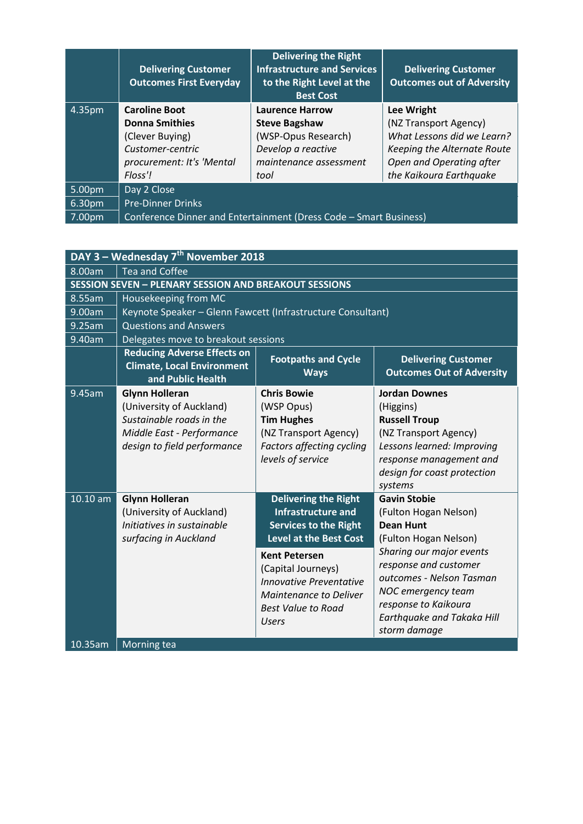|                    | <b>Delivering Customer</b><br><b>Outcomes First Everyday</b>      | <b>Delivering the Right</b><br><b>Infrastructure and Services</b><br>to the Right Level at the<br><b>Best Cost</b> | <b>Delivering Customer</b><br><b>Outcomes out of Adversity</b> |
|--------------------|-------------------------------------------------------------------|--------------------------------------------------------------------------------------------------------------------|----------------------------------------------------------------|
| 4.35pm             | <b>Caroline Boot</b>                                              | <b>Laurence Harrow</b>                                                                                             | Lee Wright                                                     |
|                    | <b>Donna Smithies</b>                                             | <b>Steve Bagshaw</b>                                                                                               | (NZ Transport Agency)                                          |
|                    | (Clever Buying)                                                   | (WSP-Opus Research)                                                                                                | What Lessons did we Learn?                                     |
|                    | Customer-centric                                                  | Develop a reactive                                                                                                 | Keeping the Alternate Route                                    |
|                    | procurement: It's 'Mental                                         | maintenance assessment                                                                                             | Open and Operating after                                       |
|                    | Floss'!                                                           | tool                                                                                                               | the Kaikoura Earthquake                                        |
| 5.00pm             | Day 2 Close                                                       |                                                                                                                    |                                                                |
| 6.30 <sub>pm</sub> | <b>Pre-Dinner Drinks</b>                                          |                                                                                                                    |                                                                |
| 7.00pm             | Conference Dinner and Entertainment (Dress Code - Smart Business) |                                                                                                                    |                                                                |

| DAY 3 - Wednesday 7 <sup>th</sup> November 2018              |                                                                                                                                           |                                                                                                                                                                                                                                            |                                                                                                                                                                                                  |
|--------------------------------------------------------------|-------------------------------------------------------------------------------------------------------------------------------------------|--------------------------------------------------------------------------------------------------------------------------------------------------------------------------------------------------------------------------------------------|--------------------------------------------------------------------------------------------------------------------------------------------------------------------------------------------------|
| 8.00am<br><b>Tea and Coffee</b>                              |                                                                                                                                           |                                                                                                                                                                                                                                            |                                                                                                                                                                                                  |
| <b>SESSION SEVEN - PLENARY SESSION AND BREAKOUT SESSIONS</b> |                                                                                                                                           |                                                                                                                                                                                                                                            |                                                                                                                                                                                                  |
| 8.55am                                                       | Housekeeping from MC                                                                                                                      |                                                                                                                                                                                                                                            |                                                                                                                                                                                                  |
| 9.00am                                                       | Keynote Speaker - Glenn Fawcett (Infrastructure Consultant)                                                                               |                                                                                                                                                                                                                                            |                                                                                                                                                                                                  |
| 9.25am                                                       | <b>Questions and Answers</b>                                                                                                              |                                                                                                                                                                                                                                            |                                                                                                                                                                                                  |
| 9.40am                                                       | Delegates move to breakout sessions                                                                                                       |                                                                                                                                                                                                                                            |                                                                                                                                                                                                  |
|                                                              | <b>Reducing Adverse Effects on</b><br><b>Climate, Local Environment</b><br>and Public Health                                              | <b>Footpaths and Cycle</b><br><b>Ways</b>                                                                                                                                                                                                  | <b>Delivering Customer</b><br><b>Outcomes Out of Adversity</b>                                                                                                                                   |
| 9.45am                                                       | <b>Glynn Holleran</b><br>(University of Auckland)<br>Sustainable roads in the<br>Middle East - Performance<br>design to field performance | <b>Chris Bowie</b><br>(WSP Opus)<br><b>Tim Hughes</b><br>(NZ Transport Agency)<br>Factors affecting cycling<br>levels of service                                                                                                           | <b>Jordan Downes</b><br>(Higgins)<br><b>Russell Troup</b><br>(NZ Transport Agency)<br>Lessons learned: Improving<br>response management and<br>design for coast protection<br>systems            |
| 10.10 am                                                     | <b>Glynn Holleran</b><br>(University of Auckland)<br>Initiatives in sustainable<br>surfacing in Auckland                                  | <b>Delivering the Right</b><br><b>Infrastructure and</b><br><b>Services to the Right</b><br><b>Level at the Best Cost</b><br><b>Kent Petersen</b><br>(Capital Journeys)<br><b>Innovative Preventative</b><br><b>Maintenance to Deliver</b> | <b>Gavin Stobie</b><br>(Fulton Hogan Nelson)<br><b>Dean Hunt</b><br>(Fulton Hogan Nelson)<br>Sharing our major events<br>response and customer<br>outcomes - Nelson Tasman<br>NOC emergency team |
| 10.35am                                                      | Morning tea                                                                                                                               | <b>Best Value to Road</b><br><b>Users</b>                                                                                                                                                                                                  | response to Kaikoura<br><b>Earthquake and Takaka Hill</b><br>storm damage                                                                                                                        |